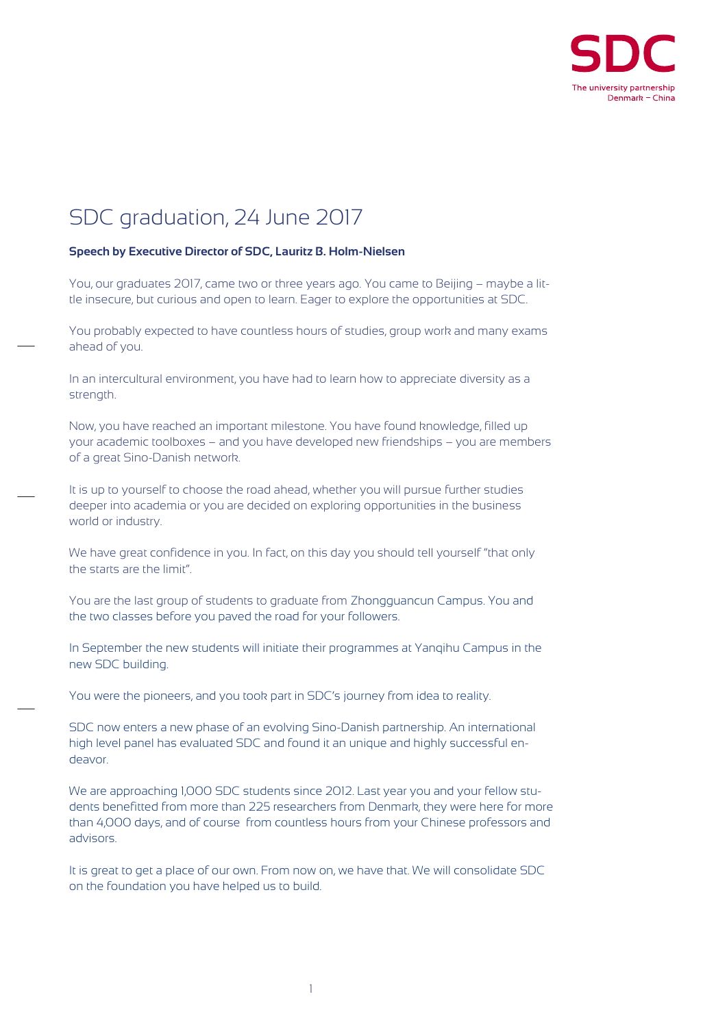

## SDC graduation, 24 June 2017

## **Speech by Executive Director of SDC, Lauritz B. Holm-Nielsen**

You, our graduates 2017, came two or three years ago. You came to Beijing – maybe a little insecure, but curious and open to learn. Eager to explore the opportunities at SDC.

You probably expected to have countless hours of studies, group work and many exams ahead of you.

In an intercultural environment, you have had to learn how to appreciate diversity as a strength.

Now, you have reached an important milestone. You have found knowledge, filled up your academic toolboxes – and you have developed new friendships – you are members of a great Sino-Danish network.

It is up to yourself to choose the road ahead, whether you will pursue further studies deeper into academia or you are decided on exploring opportunities in the business world or industry.

We have great confidence in you. In fact, on this day you should tell yourself "that only the starts are the limit".

You are the last group of students to graduate from Zhongguancun Campus. You and the two classes before you paved the road for your followers.

In September the new students will initiate their programmes at Yanqihu Campus in the new SDC building.

You were the pioneers, and you took part in SDC's journey from idea to reality.

SDC now enters a new phase of an evolving Sino-Danish partnership. An international high level panel has evaluated SDC and found it an unique and highly successful endeavor.

We are approaching 1,000 SDC students since 2012. Last year you and your fellow students benefitted from more than 225 researchers from Denmark, they were here for more than 4,000 days, and of course from countless hours from your Chinese professors and advisors.

It is great to get a place of our own. From now on, we have that. We will consolidate SDC on the foundation you have helped us to build.